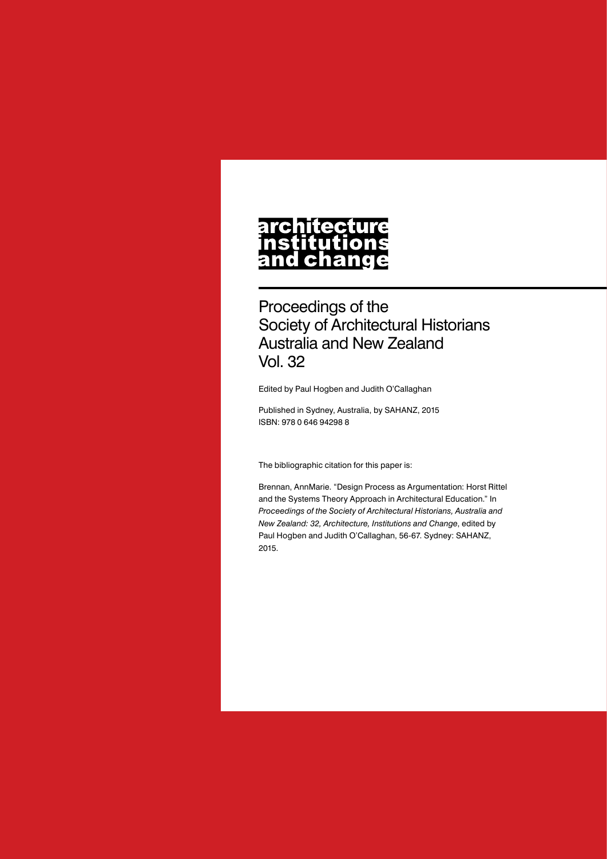# **architecture** nstitutions<br>and change

Proceedings of the Society of Architectural Historians Australia and New Zealand Vol. 32

Edited by Paul Hogben and Judith O'Callaghan

Published in Sydney, Australia, by SAHANZ, 2015 ISBN: 978 0 646 94298 8

The bibliographic citation for this paper is:

Brennan, AnnMarie. "Design Process as Argumentation: Horst Rittel and the Systems Theory Approach in Architectural Education." In *Proceedings of the Society of Architectural Historians, Australia and New Zealand: 32, Architecture, Institutions and Change*, edited by Paul Hogben and Judith O'Callaghan, 56-67. Sydney: SAHANZ, 2015.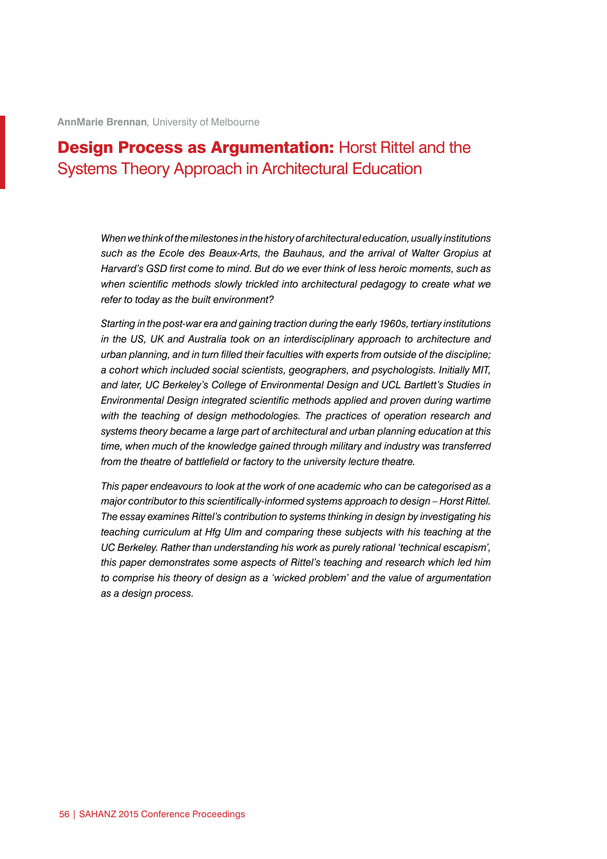**AnnMarie Brennan***,* University of Melbourne

# **Design Process as Argumentation: Horst Rittel and the** Systems Theory Approach in Architectural Education

*When we think of the milestones in the history of architectural education, usually institutions such as the Ecole des Beaux-Arts, the Bauhaus, and the arrival of Walter Gropius at Harvard's GSD first come to mind. But do we ever think of less heroic moments, such as when scientific methods slowly trickled into architectural pedagogy to create what we refer to today as the built environment?*

*Starting in the post-war era and gaining traction during the early 1960s, tertiary institutions in the US, UK and Australia took on an interdisciplinary approach to architecture and urban planning, and in turn filled their faculties with experts from outside of the discipline; a cohort which included social scientists, geographers, and psychologists. Initially MIT, and later, UC Berkeley's College of Environmental Design and UCL Bartlett's Studies in Environmental Design integrated scientific methods applied and proven during wartime*  with the teaching of design methodologies. The practices of operation research and *systems theory became a large part of architectural and urban planning education at this time, when much of the knowledge gained through military and industry was transferred from the theatre of battlefield or factory to the university lecture theatre.*

*This paper endeavours to look at the work of one academic who can be categorised as a major contributor to this scientifically-informed systems approach to design – Horst Rittel. The essay examines Rittel's contribution to systems thinking in design by investigating his teaching curriculum at Hfg Ulm and comparing these subjects with his teaching at the UC Berkeley. Rather than understanding his work as purely rational 'technical escapism', this paper demonstrates some aspects of Rittel's teaching and research which led him to comprise his theory of design as a 'wicked problem' and the value of argumentation as a design process.*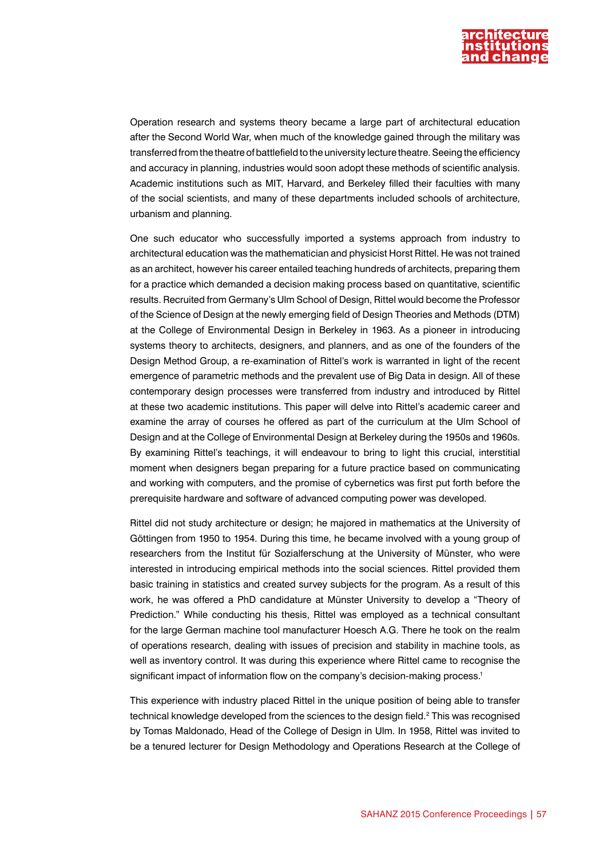

Operation research and systems theory became a large part of architectural education after the Second World War, when much of the knowledge gained through the military was transferred from the theatre of battlefield to the university lecture theatre. Seeing the efficiency and accuracy in planning, industries would soon adopt these methods of scientific analysis. Academic institutions such as MIT, Harvard, and Berkeley filled their faculties with many of the social scientists, and many of these departments included schools of architecture, urbanism and planning.

One such educator who successfully imported a systems approach from industry to architectural education was the mathematician and physicist Horst Rittel. He was not trained as an architect, however his career entailed teaching hundreds of architects, preparing them for a practice which demanded a decision making process based on quantitative, scientific results. Recruited from Germany's Ulm School of Design, Rittel would become the Professor of the Science of Design at the newly emerging field of Design Theories and Methods (DTM) at the College of Environmental Design in Berkeley in 1963. As a pioneer in introducing systems theory to architects, designers, and planners, and as one of the founders of the Design Method Group, a re-examination of Rittel's work is warranted in light of the recent emergence of parametric methods and the prevalent use of Big Data in design. All of these contemporary design processes were transferred from industry and introduced by Rittel at these two academic institutions. This paper will delve into Rittel's academic career and examine the array of courses he offered as part of the curriculum at the Ulm School of Design and at the College of Environmental Design at Berkeley during the 1950s and 1960s. By examining Rittel's teachings, it will endeavour to bring to light this crucial, interstitial moment when designers began preparing for a future practice based on communicating and working with computers, and the promise of cybernetics was first put forth before the prerequisite hardware and software of advanced computing power was developed.

Rittel did not study architecture or design; he majored in mathematics at the University of Göttingen from 1950 to 1954. During this time, he became involved with a young group of researchers from the Institut für Sozialferschung at the University of Münster, who were interested in introducing empirical methods into the social sciences. Rittel provided them basic training in statistics and created survey subjects for the program. As a result of this work, he was offered a PhD candidature at Münster University to develop a "Theory of Prediction." While conducting his thesis, Rittel was employed as a technical consultant for the large German machine tool manufacturer Hoesch A.G. There he took on the realm of operations research, dealing with issues of precision and stability in machine tools, as well as inventory control. It was during this experience where Rittel came to recognise the significant impact of information flow on the company's decision-making process.<sup>1</sup>

This experience with industry placed Rittel in the unique position of being able to transfer technical knowledge developed from the sciences to the design field. $^2$  This was recognised by Tomas Maldonado, Head of the College of Design in Ulm. In 1958, Rittel was invited to be a tenured lecturer for Design Methodology and Operations Research at the College of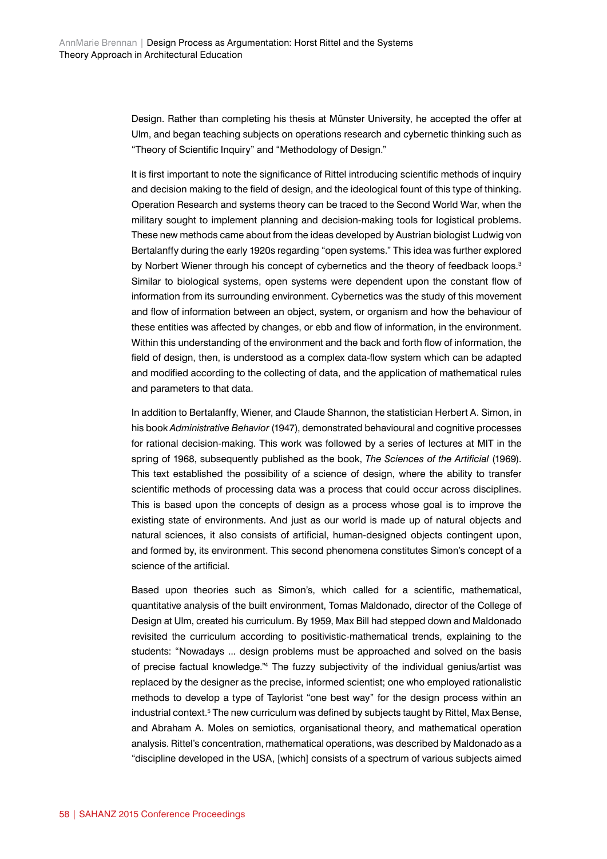Design. Rather than completing his thesis at Münster University, he accepted the offer at Ulm, and began teaching subjects on operations research and cybernetic thinking such as "Theory of Scientific Inquiry" and "Methodology of Design."

It is first important to note the significance of Rittel introducing scientific methods of inquiry and decision making to the field of design, and the ideological fount of this type of thinking. Operation Research and systems theory can be traced to the Second World War, when the military sought to implement planning and decision-making tools for logistical problems. These new methods came about from the ideas developed by Austrian biologist Ludwig von Bertalanffy during the early 1920s regarding "open systems." This idea was further explored by Norbert Wiener through his concept of cybernetics and the theory of feedback loops.<sup>3</sup> Similar to biological systems, open systems were dependent upon the constant flow of information from its surrounding environment. Cybernetics was the study of this movement and flow of information between an object, system, or organism and how the behaviour of these entities was affected by changes, or ebb and flow of information, in the environment. Within this understanding of the environment and the back and forth flow of information, the field of design, then, is understood as a complex data-flow system which can be adapted and modified according to the collecting of data, and the application of mathematical rules and parameters to that data.

In addition to Bertalanffy, Wiener, and Claude Shannon, the statistician Herbert A. Simon, in his book *Administrative Behavior* (1947), demonstrated behavioural and cognitive processes for rational decision-making. This work was followed by a series of lectures at MIT in the spring of 1968, subsequently published as the book, *The Sciences of the Artificial* (1969). This text established the possibility of a science of design, where the ability to transfer scientific methods of processing data was a process that could occur across disciplines. This is based upon the concepts of design as a process whose goal is to improve the existing state of environments. And just as our world is made up of natural objects and natural sciences, it also consists of artificial, human-designed objects contingent upon, and formed by, its environment. This second phenomena constitutes Simon's concept of a science of the artificial.

Based upon theories such as Simon's, which called for a scientific, mathematical, quantitative analysis of the built environment, Tomas Maldonado, director of the College of Design at Ulm, created his curriculum. By 1959, Max Bill had stepped down and Maldonado revisited the curriculum according to positivistic-mathematical trends, explaining to the students: "Nowadays ... design problems must be approached and solved on the basis of precise factual knowledge."4 The fuzzy subjectivity of the individual genius/artist was replaced by the designer as the precise, informed scientist; one who employed rationalistic methods to develop a type of Taylorist "one best way" for the design process within an industrial context.<sup>5</sup> The new curriculum was defined by subjects taught by Rittel, Max Bense, and Abraham A. Moles on semiotics, organisational theory, and mathematical operation analysis. Rittel's concentration, mathematical operations, was described by Maldonado as a "discipline developed in the USA, [which] consists of a spectrum of various subjects aimed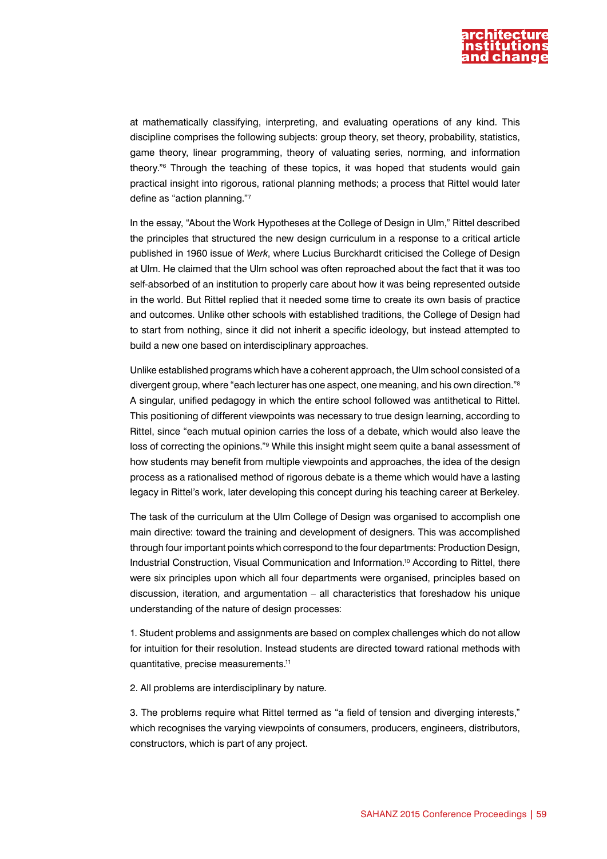

at mathematically classifying, interpreting, and evaluating operations of any kind. This discipline comprises the following subjects: group theory, set theory, probability, statistics, game theory, linear programming, theory of valuating series, norming, and information theory."6 Through the teaching of these topics, it was hoped that students would gain practical insight into rigorous, rational planning methods; a process that Rittel would later define as "action planning."7

In the essay, "About the Work Hypotheses at the College of Design in Ulm," Rittel described the principles that structured the new design curriculum in a response to a critical article published in 1960 issue of *Werk*, where Lucius Burckhardt criticised the College of Design at Ulm. He claimed that the Ulm school was often reproached about the fact that it was too self-absorbed of an institution to properly care about how it was being represented outside in the world. But Rittel replied that it needed some time to create its own basis of practice and outcomes. Unlike other schools with established traditions, the College of Design had to start from nothing, since it did not inherit a specific ideology, but instead attempted to build a new one based on interdisciplinary approaches.

Unlike established programs which have a coherent approach, the Ulm school consisted of a divergent group, where "each lecturer has one aspect, one meaning, and his own direction."8 A singular, unified pedagogy in which the entire school followed was antithetical to Rittel. This positioning of different viewpoints was necessary to true design learning, according to Rittel, since "each mutual opinion carries the loss of a debate, which would also leave the loss of correcting the opinions."<sup>9</sup> While this insight might seem quite a banal assessment of how students may benefit from multiple viewpoints and approaches, the idea of the design process as a rationalised method of rigorous debate is a theme which would have a lasting legacy in Rittel's work, later developing this concept during his teaching career at Berkeley.

The task of the curriculum at the Ulm College of Design was organised to accomplish one main directive: toward the training and development of designers. This was accomplished through four important points which correspond to the four departments: Production Design, Industrial Construction, Visual Communication and Information.10 According to Rittel, there were six principles upon which all four departments were organised, principles based on discussion, iteration, and argumentation – all characteristics that foreshadow his unique understanding of the nature of design processes:

1. Student problems and assignments are based on complex challenges which do not allow for intuition for their resolution. Instead students are directed toward rational methods with quantitative, precise measurements.11

2. All problems are interdisciplinary by nature.

3. The problems require what Rittel termed as "a field of tension and diverging interests," which recognises the varying viewpoints of consumers, producers, engineers, distributors, constructors, which is part of any project.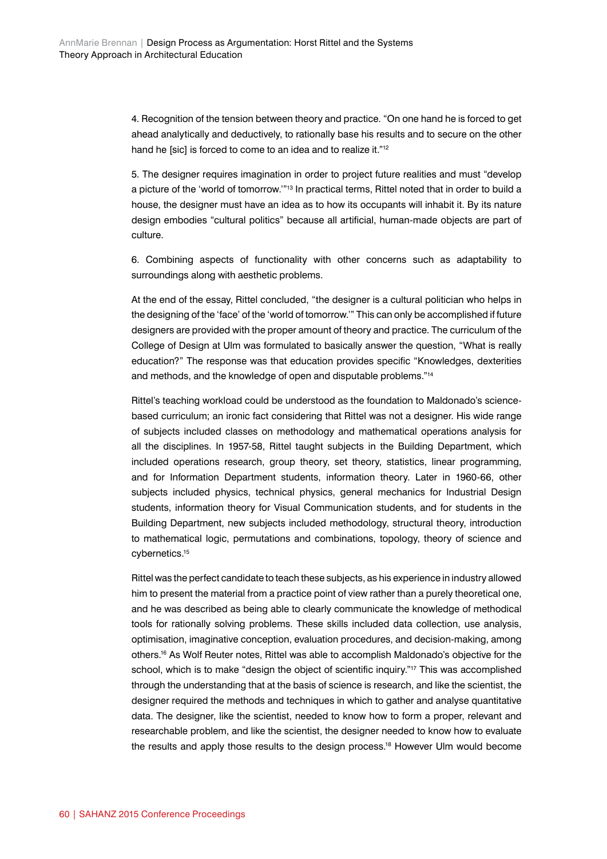4. Recognition of the tension between theory and practice. "On one hand he is forced to get ahead analytically and deductively, to rationally base his results and to secure on the other hand he [sic] is forced to come to an idea and to realize it."<sup>12</sup>

5. The designer requires imagination in order to project future realities and must "develop a picture of the 'world of tomorrow."<sup>13</sup> In practical terms, Rittel noted that in order to build a house, the designer must have an idea as to how its occupants will inhabit it. By its nature design embodies "cultural politics" because all artificial, human-made objects are part of culture.

6. Combining aspects of functionality with other concerns such as adaptability to surroundings along with aesthetic problems.

At the end of the essay, Rittel concluded, "the designer is a cultural politician who helps in the designing of the 'face' of the 'world of tomorrow.'" This can only be accomplished if future designers are provided with the proper amount of theory and practice. The curriculum of the College of Design at Ulm was formulated to basically answer the question, "What is really education?" The response was that education provides specific "Knowledges, dexterities and methods, and the knowledge of open and disputable problems."14

Rittel's teaching workload could be understood as the foundation to Maldonado's sciencebased curriculum; an ironic fact considering that Rittel was not a designer. His wide range of subjects included classes on methodology and mathematical operations analysis for all the disciplines. In 1957-58, Rittel taught subjects in the Building Department, which included operations research, group theory, set theory, statistics, linear programming, and for Information Department students, information theory. Later in 1960-66, other subjects included physics, technical physics, general mechanics for Industrial Design students, information theory for Visual Communication students, and for students in the Building Department, new subjects included methodology, structural theory, introduction to mathematical logic, permutations and combinations, topology, theory of science and cybernetics.15

Rittel was the perfect candidate to teach these subjects, as his experience in industry allowed him to present the material from a practice point of view rather than a purely theoretical one, and he was described as being able to clearly communicate the knowledge of methodical tools for rationally solving problems. These skills included data collection, use analysis, optimisation, imaginative conception, evaluation procedures, and decision-making, among others.16 As Wolf Reuter notes, Rittel was able to accomplish Maldonado's objective for the school, which is to make "design the object of scientific inquiry."<sup>17</sup> This was accomplished through the understanding that at the basis of science is research, and like the scientist, the designer required the methods and techniques in which to gather and analyse quantitative data. The designer, like the scientist, needed to know how to form a proper, relevant and researchable problem, and like the scientist, the designer needed to know how to evaluate the results and apply those results to the design process.<sup>18</sup> However Ulm would become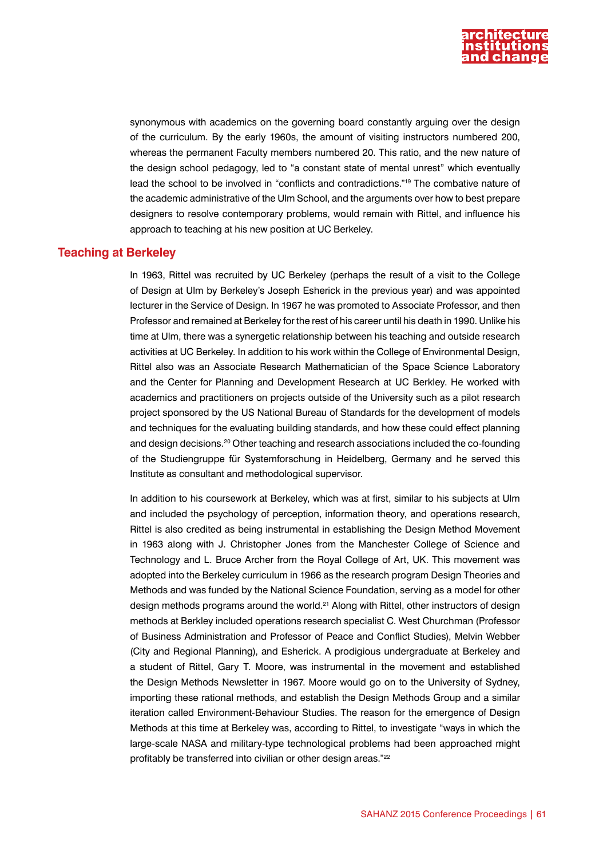

synonymous with academics on the governing board constantly arguing over the design of the curriculum. By the early 1960s, the amount of visiting instructors numbered 200, whereas the permanent Faculty members numbered 20. This ratio, and the new nature of the design school pedagogy, led to "a constant state of mental unrest" which eventually lead the school to be involved in "conflicts and contradictions."19 The combative nature of the academic administrative of the Ulm School, and the arguments over how to best prepare designers to resolve contemporary problems, would remain with Rittel, and influence his approach to teaching at his new position at UC Berkeley.

#### **Teaching at Berkeley**

In 1963, Rittel was recruited by UC Berkeley (perhaps the result of a visit to the College of Design at Ulm by Berkeley's Joseph Esherick in the previous year) and was appointed lecturer in the Service of Design. In 1967 he was promoted to Associate Professor, and then Professor and remained at Berkeley for the rest of his career until his death in 1990. Unlike his time at Ulm, there was a synergetic relationship between his teaching and outside research activities at UC Berkeley. In addition to his work within the College of Environmental Design, Rittel also was an Associate Research Mathematician of the Space Science Laboratory and the Center for Planning and Development Research at UC Berkley. He worked with academics and practitioners on projects outside of the University such as a pilot research project sponsored by the US National Bureau of Standards for the development of models and techniques for the evaluating building standards, and how these could effect planning and design decisions.20 Other teaching and research associations included the co-founding of the Studiengruppe für Systemforschung in Heidelberg, Germany and he served this Institute as consultant and methodological supervisor.

In addition to his coursework at Berkeley, which was at first, similar to his subjects at Ulm and included the psychology of perception, information theory, and operations research, Rittel is also credited as being instrumental in establishing the Design Method Movement in 1963 along with J. Christopher Jones from the Manchester College of Science and Technology and L. Bruce Archer from the Royal College of Art, UK. This movement was adopted into the Berkeley curriculum in 1966 as the research program Design Theories and Methods and was funded by the National Science Foundation, serving as a model for other design methods programs around the world.<sup>21</sup> Along with Rittel, other instructors of design methods at Berkley included operations research specialist C. West Churchman (Professor of Business Administration and Professor of Peace and Conflict Studies), Melvin Webber (City and Regional Planning), and Esherick. A prodigious undergraduate at Berkeley and a student of Rittel, Gary T. Moore, was instrumental in the movement and established the Design Methods Newsletter in 1967. Moore would go on to the University of Sydney, importing these rational methods, and establish the Design Methods Group and a similar iteration called Environment-Behaviour Studies. The reason for the emergence of Design Methods at this time at Berkeley was, according to Rittel, to investigate "ways in which the large-scale NASA and military-type technological problems had been approached might profitably be transferred into civilian or other design areas."22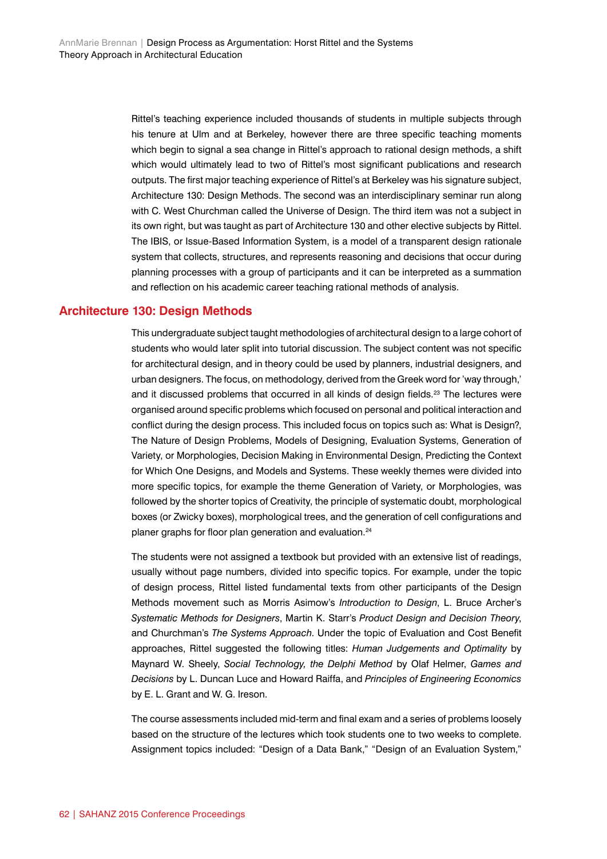Rittel's teaching experience included thousands of students in multiple subjects through his tenure at Ulm and at Berkeley, however there are three specific teaching moments which begin to signal a sea change in Rittel's approach to rational design methods, a shift which would ultimately lead to two of Rittel's most significant publications and research outputs. The first major teaching experience of Rittel's at Berkeley was his signature subject, Architecture 130: Design Methods. The second was an interdisciplinary seminar run along with C. West Churchman called the Universe of Design. The third item was not a subject in its own right, but was taught as part of Architecture 130 and other elective subjects by Rittel. The IBIS, or Issue-Based Information System, is a model of a transparent design rationale system that collects, structures, and represents reasoning and decisions that occur during planning processes with a group of participants and it can be interpreted as a summation and reflection on his academic career teaching rational methods of analysis.

## **Architecture 130: Design Methods**

This undergraduate subject taught methodologies of architectural design to a large cohort of students who would later split into tutorial discussion. The subject content was not specific for architectural design, and in theory could be used by planners, industrial designers, and urban designers. The focus, on methodology, derived from the Greek word for 'way through,' and it discussed problems that occurred in all kinds of design fields.<sup>23</sup> The lectures were organised around specific problems which focused on personal and political interaction and conflict during the design process. This included focus on topics such as: What is Design?, The Nature of Design Problems, Models of Designing, Evaluation Systems, Generation of Variety, or Morphologies, Decision Making in Environmental Design, Predicting the Context for Which One Designs, and Models and Systems. These weekly themes were divided into more specific topics, for example the theme Generation of Variety, or Morphologies, was followed by the shorter topics of Creativity, the principle of systematic doubt, morphological boxes (or Zwicky boxes), morphological trees, and the generation of cell configurations and planer graphs for floor plan generation and evaluation.<sup>24</sup>

The students were not assigned a textbook but provided with an extensive list of readings, usually without page numbers, divided into specific topics. For example, under the topic of design process, Rittel listed fundamental texts from other participants of the Design Methods movement such as Morris Asimow's *Introduction to Design*, L. Bruce Archer's *Systematic Methods for Designers*, Martin K. Starr's *Product Design and Decision Theory*, and Churchman's *The Systems Approach*. Under the topic of Evaluation and Cost Benefit approaches, Rittel suggested the following titles: *Human Judgements and Optimality* by Maynard W. Sheely, *Social Technology, the Delphi Method* by Olaf Helmer, *Games and Decisions* by L. Duncan Luce and Howard Raiffa, and *Principles of Engineering Economics* by E. L. Grant and W. G. Ireson.

The course assessments included mid-term and final exam and a series of problems loosely based on the structure of the lectures which took students one to two weeks to complete. Assignment topics included: "Design of a Data Bank," "Design of an Evaluation System,"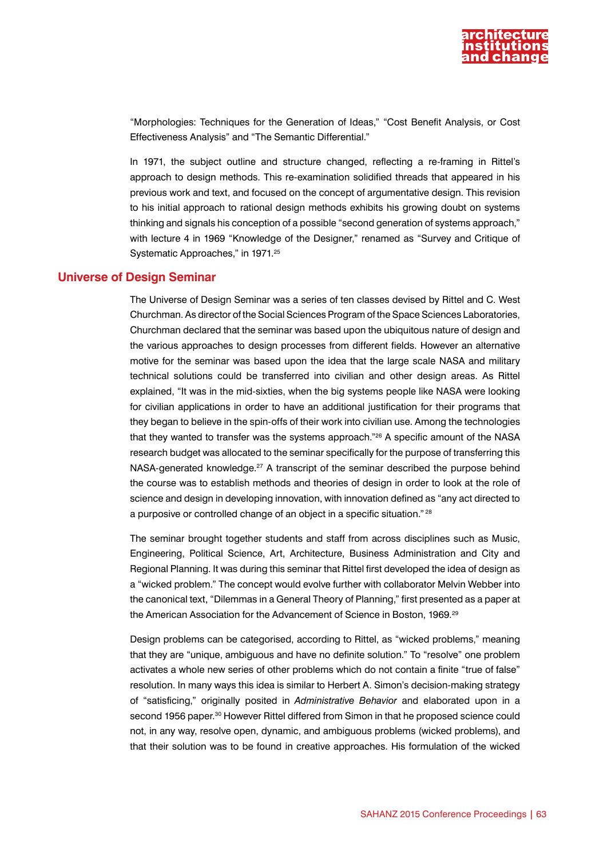

"Morphologies: Techniques for the Generation of Ideas," "Cost Benefit Analysis, or Cost Effectiveness Analysis" and "The Semantic Differential."

In 1971, the subject outline and structure changed, reflecting a re-framing in Rittel's approach to design methods. This re-examination solidified threads that appeared in his previous work and text, and focused on the concept of argumentative design. This revision to his initial approach to rational design methods exhibits his growing doubt on systems thinking and signals his conception of a possible "second generation of systems approach," with lecture 4 in 1969 "Knowledge of the Designer," renamed as "Survey and Critique of Systematic Approaches," in 1971.<sup>25</sup>

#### **Universe of Design Seminar**

The Universe of Design Seminar was a series of ten classes devised by Rittel and C. West Churchman. As director of the Social Sciences Program of the Space Sciences Laboratories, Churchman declared that the seminar was based upon the ubiquitous nature of design and the various approaches to design processes from different fields. However an alternative motive for the seminar was based upon the idea that the large scale NASA and military technical solutions could be transferred into civilian and other design areas. As Rittel explained, "It was in the mid-sixties, when the big systems people like NASA were looking for civilian applications in order to have an additional justification for their programs that they began to believe in the spin-offs of their work into civilian use. Among the technologies that they wanted to transfer was the systems approach."26 A specific amount of the NASA research budget was allocated to the seminar specifically for the purpose of transferring this NASA-generated knowledge.<sup>27</sup> A transcript of the seminar described the purpose behind the course was to establish methods and theories of design in order to look at the role of science and design in developing innovation, with innovation defined as "any act directed to a purposive or controlled change of an object in a specific situation." 28

The seminar brought together students and staff from across disciplines such as Music, Engineering, Political Science, Art, Architecture, Business Administration and City and Regional Planning. It was during this seminar that Rittel first developed the idea of design as a "wicked problem." The concept would evolve further with collaborator Melvin Webber into the canonical text, "Dilemmas in a General Theory of Planning," first presented as a paper at the American Association for the Advancement of Science in Boston, 1969.<sup>29</sup>

Design problems can be categorised, according to Rittel, as "wicked problems," meaning that they are "unique, ambiguous and have no definite solution." To "resolve" one problem activates a whole new series of other problems which do not contain a finite "true of false" resolution. In many ways this idea is similar to Herbert A. Simon's decision-making strategy of "satisficing," originally posited in *Administrative Behavior* and elaborated upon in a second 1956 paper.<sup>30</sup> However Rittel differed from Simon in that he proposed science could not, in any way, resolve open, dynamic, and ambiguous problems (wicked problems), and that their solution was to be found in creative approaches. His formulation of the wicked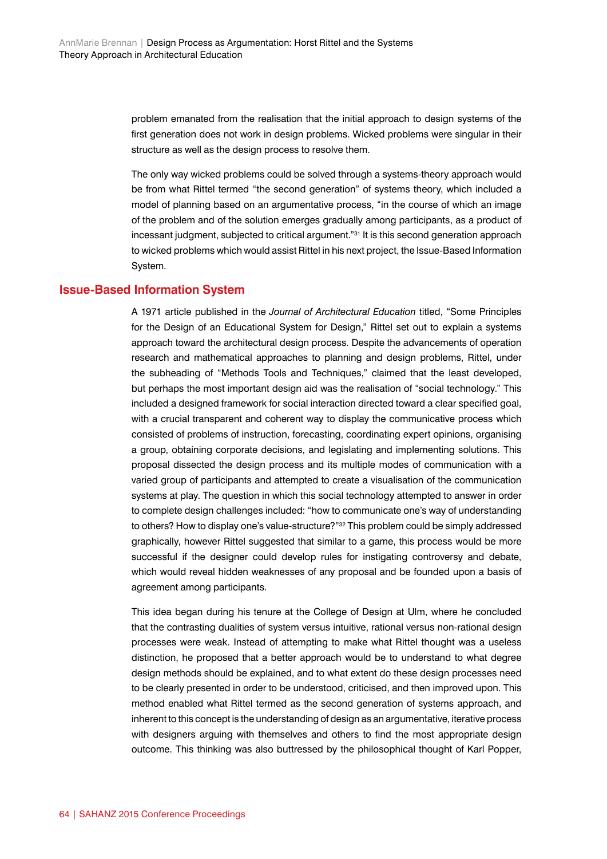problem emanated from the realisation that the initial approach to design systems of the first generation does not work in design problems. Wicked problems were singular in their structure as well as the design process to resolve them.

The only way wicked problems could be solved through a systems-theory approach would be from what Rittel termed "the second generation" of systems theory, which included a model of planning based on an argumentative process, "in the course of which an image of the problem and of the solution emerges gradually among participants, as a product of incessant judgment, subjected to critical argument."31 It is this second generation approach to wicked problems which would assist Rittel in his next project, the Issue-Based Information System.

#### **Issue-Based Information System**

A 1971 article published in the *Journal of Architectural Education* titled, "Some Principles for the Design of an Educational System for Design," Rittel set out to explain a systems approach toward the architectural design process. Despite the advancements of operation research and mathematical approaches to planning and design problems, Rittel, under the subheading of "Methods Tools and Techniques," claimed that the least developed, but perhaps the most important design aid was the realisation of "social technology." This included a designed framework for social interaction directed toward a clear specified goal, with a crucial transparent and coherent way to display the communicative process which consisted of problems of instruction, forecasting, coordinating expert opinions, organising a group, obtaining corporate decisions, and legislating and implementing solutions. This proposal dissected the design process and its multiple modes of communication with a varied group of participants and attempted to create a visualisation of the communication systems at play. The question in which this social technology attempted to answer in order to complete design challenges included: "how to communicate one's way of understanding to others? How to display one's value-structure?"<sup>32</sup> This problem could be simply addressed graphically, however Rittel suggested that similar to a game, this process would be more successful if the designer could develop rules for instigating controversy and debate, which would reveal hidden weaknesses of any proposal and be founded upon a basis of agreement among participants.

This idea began during his tenure at the College of Design at Ulm, where he concluded that the contrasting dualities of system versus intuitive, rational versus non-rational design processes were weak. Instead of attempting to make what Rittel thought was a useless distinction, he proposed that a better approach would be to understand to what degree design methods should be explained, and to what extent do these design processes need to be clearly presented in order to be understood, criticised, and then improved upon. This method enabled what Rittel termed as the second generation of systems approach, and inherent to this concept is the understanding of design as an argumentative, iterative process with designers arguing with themselves and others to find the most appropriate design outcome. This thinking was also buttressed by the philosophical thought of Karl Popper,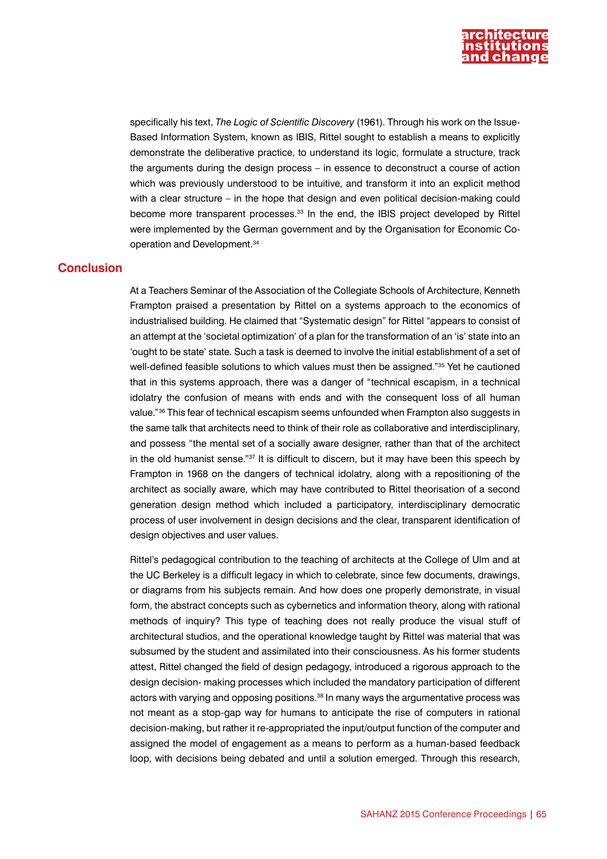

specifically his text, *The Logic of Scientific Discovery* (1961). Through his work on the Issue-Based Information System, known as IBIS, Rittel sought to establish a means to explicitly demonstrate the deliberative practice, to understand its logic, formulate a structure, track the arguments during the design process – in essence to deconstruct a course of action which was previously understood to be intuitive, and transform it into an explicit method with a clear structure – in the hope that design and even political decision-making could become more transparent processes.<sup>33</sup> In the end, the IBIS project developed by Rittel were implemented by the German government and by the Organisation for Economic Cooperation and Development.34

## **Conclusion**

At a Teachers Seminar of the Association of the Collegiate Schools of Architecture, Kenneth Frampton praised a presentation by Rittel on a systems approach to the economics of industrialised building. He claimed that "Systematic design" for Rittel "appears to consist of an attempt at the 'societal optimization' of a plan for the transformation of an 'is' state into an 'ought to be state' state. Such a task is deemed to involve the initial establishment of a set of well-defined feasible solutions to which values must then be assigned."35 Yet he cautioned that in this systems approach, there was a danger of "technical escapism, in a technical idolatry the confusion of means with ends and with the consequent loss of all human value."36 This fear of technical escapism seems unfounded when Frampton also suggests in the same talk that architects need to think of their role as collaborative and interdisciplinary, and possess "the mental set of a socially aware designer, rather than that of the architect in the old humanist sense." $37$  It is difficult to discern, but it may have been this speech by Frampton in 1968 on the dangers of technical idolatry, along with a repositioning of the architect as socially aware, which may have contributed to Rittel theorisation of a second generation design method which included a participatory, interdisciplinary democratic process of user involvement in design decisions and the clear, transparent identification of design objectives and user values.

Rittel's pedagogical contribution to the teaching of architects at the College of Ulm and at the UC Berkeley is a difficult legacy in which to celebrate, since few documents, drawings, or diagrams from his subjects remain. And how does one properly demonstrate, in visual form, the abstract concepts such as cybernetics and information theory, along with rational methods of inquiry? This type of teaching does not really produce the visual stuff of architectural studios, and the operational knowledge taught by Rittel was material that was subsumed by the student and assimilated into their consciousness. As his former students attest, Rittel changed the field of design pedagogy, introduced a rigorous approach to the design decision- making processes which included the mandatory participation of different actors with varying and opposing positions.<sup>38</sup> In many ways the argumentative process was not meant as a stop-gap way for humans to anticipate the rise of computers in rational decision-making, but rather it re-appropriated the input/output function of the computer and assigned the model of engagement as a means to perform as a human-based feedback loop, with decisions being debated and until a solution emerged. Through this research,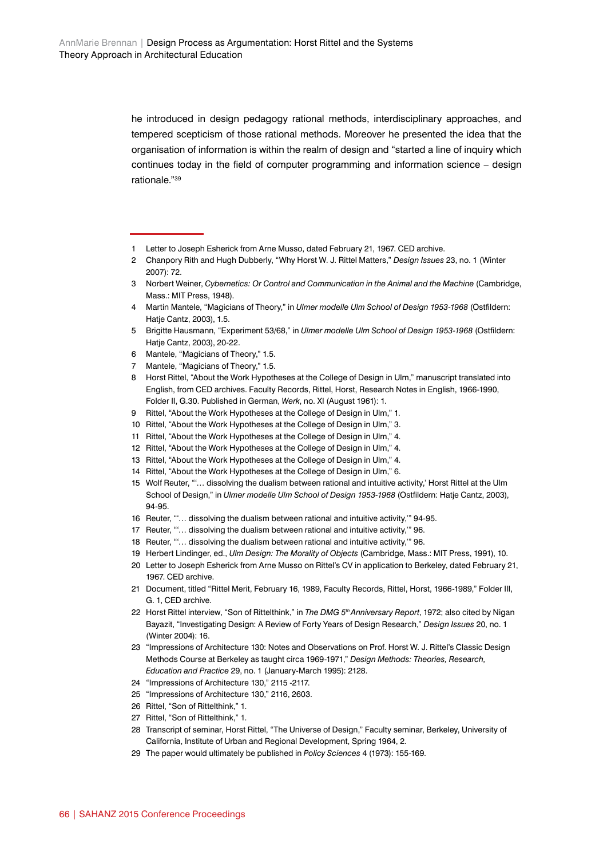he introduced in design pedagogy rational methods, interdisciplinary approaches, and tempered scepticism of those rational methods. Moreover he presented the idea that the organisation of information is within the realm of design and "started a line of inquiry which continues today in the field of computer programming and information science – design rationale."39

- 1 Letter to Joseph Esherick from Arne Musso, dated February 21, 1967. CED archive.
- 2 Chanpory Rith and Hugh Dubberly, "Why Horst W. J. Rittel Matters," *Design Issues* 23, no. 1 (Winter 2007): 72.
- 3 Norbert Weiner, *Cybernetics: Or Control and Communication in the Animal and the Machine* (Cambridge, Mass.: MIT Press, 1948).
- 4 Martin Mantele, "Magicians of Theory," in *Ulmer modelle Ulm School of Design 1953-1968* (Ostfildern: Hatje Cantz, 2003), 1.5.
- 5 Brigitte Hausmann, "Experiment 53/68," in *Ulmer modelle Ulm School of Design 1953-1968* (Ostfildern: Hatje Cantz, 2003), 20-22.
- 6 Mantele, "Magicians of Theory," 1.5.
- 7 Mantele, "Magicians of Theory," 1.5.
- 8 Horst Rittel, "About the Work Hypotheses at the College of Design in Ulm," manuscript translated into English, from CED archives. Faculty Records, Rittel, Horst, Research Notes in English, 1966-1990, Folder II, G.30. Published in German, *Werk*, no. XI (August 1961): 1.
- 9 Rittel, "About the Work Hypotheses at the College of Design in Ulm," 1.
- 10 Rittel, "About the Work Hypotheses at the College of Design in Ulm," 3.
- 11 Rittel, "About the Work Hypotheses at the College of Design in Ulm," 4.
- 12 Rittel, "About the Work Hypotheses at the College of Design in Ulm," 4.
- 13 Rittel, "About the Work Hypotheses at the College of Design in Ulm," 4.
- 14 Rittel, "About the Work Hypotheses at the College of Design in Ulm," 6.
- 15 Wolf Reuter, "'… dissolving the dualism between rational and intuitive activity,' Horst Rittel at the Ulm School of Design," in *Ulmer modelle Ulm School of Design 1953-1968* (Ostfildern: Hatje Cantz, 2003), 94-95.
- 16 Reuter, "'… dissolving the dualism between rational and intuitive activity,'" 94-95.
- 17 Reuter, "'… dissolving the dualism between rational and intuitive activity,'" 96.
- 18 Reuter, "'… dissolving the dualism between rational and intuitive activity,'" 96.
- 19 Herbert Lindinger, ed., *Ulm Design: The Morality of Objects* (Cambridge, Mass.: MIT Press, 1991), 10.
- 20 Letter to Joseph Esherick from Arne Musso on Rittel's CV in application to Berkeley, dated February 21, 1967. CED archive.
- 21 Document, titled "Rittel Merit, February 16, 1989, Faculty Records, Rittel, Horst, 1966-1989," Folder III, G. 1, CED archive.
- 22 Horst Rittel interview, "Son of Rittelthink," in *The DMG 5th Anniversary Report*, 1972; also cited by Nigan Bayazit, "Investigating Design: A Review of Forty Years of Design Research," *Design Issues* 20, no. 1 (Winter 2004): 16.
- 23 "Impressions of Architecture 130: Notes and Observations on Prof. Horst W. J. Rittel's Classic Design Methods Course at Berkeley as taught circa 1969-1971," *Design Methods: Theories, Research, Education and Practice* 29, no. 1 (January-March 1995): 2128.
- 24 "Impressions of Architecture 130," 2115 -2117.
- 25 "Impressions of Architecture 130," 2116, 2603.
- 26 Rittel, "Son of Rittelthink," 1.
- 27 Rittel, "Son of Rittelthink," 1.
- 28 Transcript of seminar, Horst Rittel, "The Universe of Design," Faculty seminar, Berkeley, University of California, Institute of Urban and Regional Development, Spring 1964, 2.
- 29 The paper would ultimately be published in *Policy Sciences* 4 (1973): 155-169.